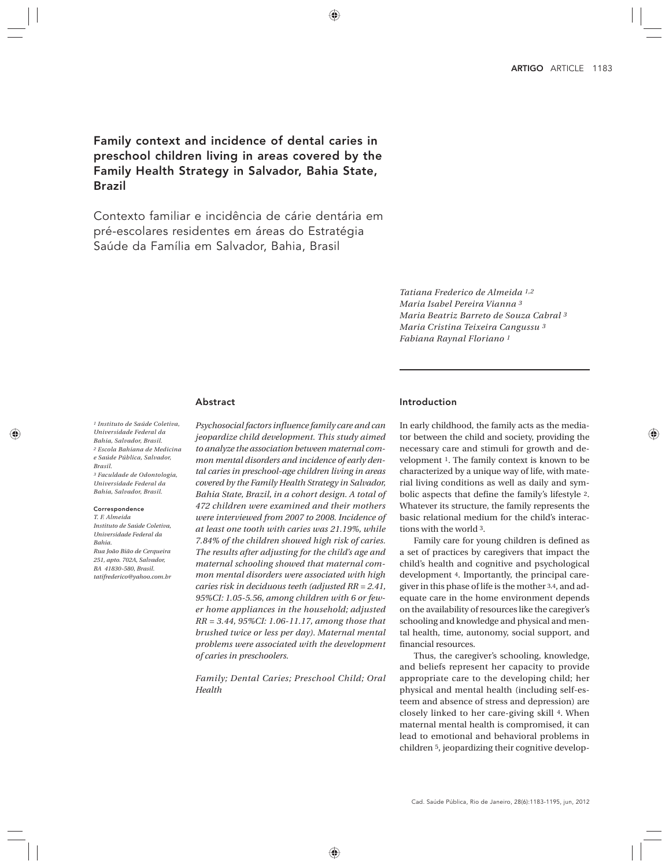Family context and incidence of dental caries in preschool children living in areas covered by the Family Health Strategy in Salvador, Bahia State, Brazil

Contexto familiar e incidência de cárie dentária em pré-escolares residentes em áreas do Estratégia Saúde da Família em Salvador, Bahia, Brasil

> *Tatiana Frederico de Almeida 1,2 Maria Isabel Pereira Vianna 3 Maria Beatriz Barreto de Souza Cabral 3 Maria Cristina Teixeira Cangussu 3 Fabiana Raynal Floriano 1*

## Abstract

*1 Instituto de Saúde Coletiva, Universidade Federal da Bahia, Salvador, Brasil. 2 Escola Bahiana de Medicina e Saúde Pública, Salvador, Brasil. 3 Faculdade de Odontologia, Universidade Federal da Bahia, Salvador, Brasil.*

#### Correspondence

*T. F. Almeida Instituto de Saúde Coletiva, Universidade Federal da Bahia. Rua João Bião de Cerqueira 251, apto. 702A, Salvador, BA 41830-580, Brasil. tatifrederico@yahoo.com.br* *Psychosocial factors influence family care and can jeopardize child development. This study aimed to analyze the association between maternal common mental disorders and incidence of early dental caries in preschool-age children living in areas covered by the Family Health Strategy in Salvador, Bahia State, Brazil, in a cohort design. A total of 472 children were examined and their mothers were interviewed from 2007 to 2008. Incidence of at least one tooth with caries was 21.19%, while 7.84% of the children showed high risk of caries. The results after adjusting for the child's age and maternal schooling showed that maternal common mental disorders were associated with high caries risk in deciduous teeth (adjusted RR = 2.41, 95%CI: 1.05-5.56, among children with 6 or fewer home appliances in the household; adjusted RR = 3.44, 95%CI: 1.06-11.17, among those that brushed twice or less per day). Maternal mental problems were associated with the development of caries in preschoolers.*

*Family; Dental Caries; Preschool Child; Oral Health*

# Introduction

In early childhood, the family acts as the mediator between the child and society, providing the necessary care and stimuli for growth and development 1. The family context is known to be characterized by a unique way of life, with material living conditions as well as daily and symbolic aspects that define the family's lifestyle 2. Whatever its structure, the family represents the basic relational medium for the child's interactions with the world 3.

Family care for young children is defined as a set of practices by caregivers that impact the child's health and cognitive and psychological development 4. Importantly, the principal caregiver in this phase of life is the mother 3,4, and adequate care in the home environment depends on the availability of resources like the caregiver's schooling and knowledge and physical and mental health, time, autonomy, social support, and financial resources.

Thus, the caregiver's schooling, knowledge, and beliefs represent her capacity to provide appropriate care to the developing child; her physical and mental health (including self-esteem and absence of stress and depression) are closely linked to her care-giving skill 4. When maternal mental health is compromised, it can lead to emotional and behavioral problems in children 5, jeopardizing their cognitive develop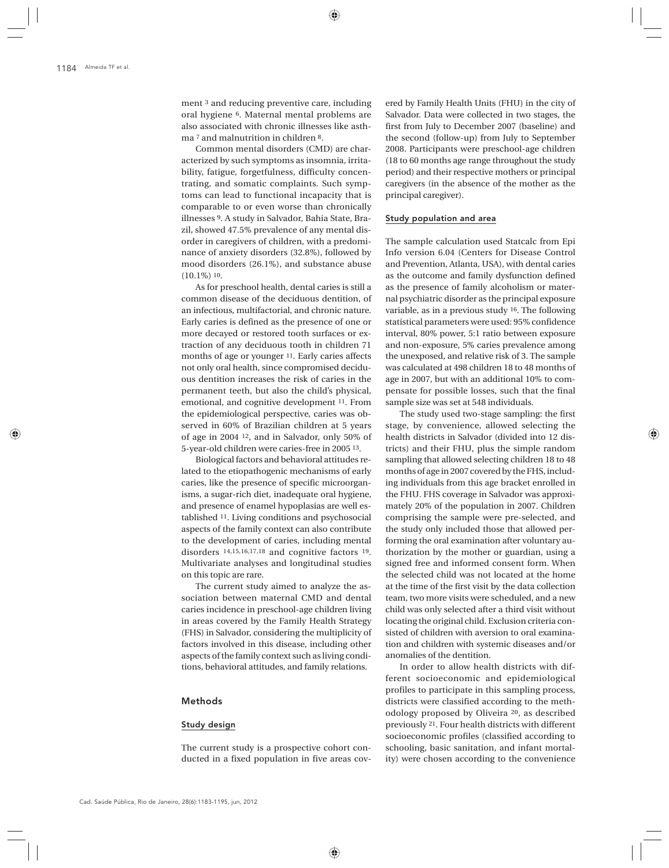ment 3 and reducing preventive care, including oral hygiene 6. Maternal mental problems are also associated with chronic illnesses like asthma 7 and malnutrition in children 8.

Common mental disorders (CMD) are characterized by such symptoms as insomnia, irritability, fatigue, forgetfulness, difficulty concentrating, and somatic complaints. Such symptoms can lead to functional incapacity that is comparable to or even worse than chronically illnesses 9. A study in Salvador, Bahia State, Brazil, showed 47.5% prevalence of any mental disorder in caregivers of children, with a predominance of anxiety disorders (32.8%), followed by mood disorders (26.1%), and substance abuse (10.1%) 10.

As for preschool health, dental caries is still a common disease of the deciduous dentition, of an infectious, multifactorial, and chronic nature. Early caries is defined as the presence of one or more decayed or restored tooth surfaces or extraction of any deciduous tooth in children 71 months of age or younger 11. Early caries affects not only oral health, since compromised deciduous dentition increases the risk of caries in the permanent teeth, but also the child's physical, emotional, and cognitive development 11. From the epidemiological perspective, caries was observed in 60% of Brazilian children at 5 years of age in 2004 12, and in Salvador, only 50% of 5-year-old children were caries-free in 2005 13.

Biological factors and behavioral attitudes related to the etiopathogenic mechanisms of early caries, like the presence of specific microorganisms, a sugar-rich diet, inadequate oral hygiene, and presence of enamel hypoplasias are well established 11. Living conditions and psychosocial aspects of the family context can also contribute to the development of caries, including mental disorders 14,15,16,17,18 and cognitive factors 19. Multivariate analyses and longitudinal studies on this topic are rare.

The current study aimed to analyze the association between maternal CMD and dental caries incidence in preschool-age children living in areas covered by the Family Health Strategy (FHS) in Salvador, considering the multiplicity of factors involved in this disease, including other aspects of the family context such as living conditions, behavioral attitudes, and family relations.

### Methods

#### Study design

The current study is a prospective cohort conducted in a fixed population in five areas cov-

ered by Family Health Units (FHU) in the city of Salvador. Data were collected in two stages, the first from July to December 2007 (baseline) and the second (follow-up) from July to September 2008. Participants were preschool-age children (18 to 60 months age range throughout the study period) and their respective mothers or principal caregivers (in the absence of the mother as the principal caregiver).

### Study population and area

The sample calculation used Statcalc from Epi Info version 6.04 (Centers for Disease Control and Prevention, Atlanta, USA), with dental caries as the outcome and family dysfunction defined as the presence of family alcoholism or maternal psychiatric disorder as the principal exposure variable, as in a previous study 16. The following statistical parameters were used: 95% confidence interval, 80% power, 5:1 ratio between exposure and non-exposure, 5% caries prevalence among the unexposed, and relative risk of 3. The sample was calculated at 498 children 18 to 48 months of age in 2007, but with an additional 10% to compensate for possible losses, such that the final sample size was set at 548 individuals.

The study used two-stage sampling: the first stage, by convenience, allowed selecting the health districts in Salvador (divided into 12 districts) and their FHU, plus the simple random sampling that allowed selecting children 18 to 48 months of age in 2007 covered by the FHS, including individuals from this age bracket enrolled in the FHU. FHS coverage in Salvador was approximately 20% of the population in 2007. Children comprising the sample were pre-selected, and the study only included those that allowed performing the oral examination after voluntary authorization by the mother or guardian, using a signed free and informed consent form. When the selected child was not located at the home at the time of the first visit by the data collection team, two more visits were scheduled, and a new child was only selected after a third visit without locating the original child. Exclusion criteria consisted of children with aversion to oral examination and children with systemic diseases and/or anomalies of the dentition.

In order to allow health districts with different socioeconomic and epidemiological profiles to participate in this sampling process, districts were classified according to the methodology proposed by Oliveira 20, as described previously 21. Four health districts with different socioeconomic profiles (classified according to schooling, basic sanitation, and infant mortality) were chosen according to the convenience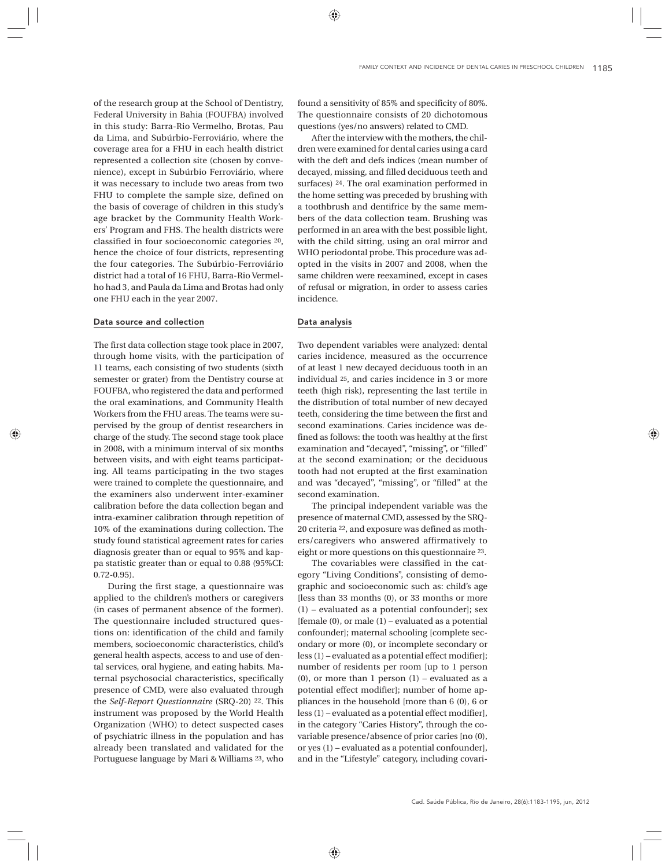of the research group at the School of Dentistry, Federal University in Bahia (FOUFBA) involved in this study: Barra-Rio Vermelho, Brotas, Pau da Lima, and Subúrbio-Ferroviário, where the coverage area for a FHU in each health district represented a collection site (chosen by convenience), except in Subúrbio Ferroviário, where it was necessary to include two areas from two FHU to complete the sample size, defined on the basis of coverage of children in this study's age bracket by the Community Health Workers' Program and FHS. The health districts were classified in four socioeconomic categories 20, hence the choice of four districts, representing the four categories. The Subúrbio-Ferroviário district had a total of 16 FHU, Barra-Rio Vermelho had 3, and Paula da Lima and Brotas had only one FHU each in the year 2007.

### Data source and collection

The first data collection stage took place in 2007, through home visits, with the participation of 11 teams, each consisting of two students (sixth semester or grater) from the Dentistry course at FOUFBA, who registered the data and performed the oral examinations, and Community Health Workers from the FHU areas. The teams were supervised by the group of dentist researchers in charge of the study. The second stage took place in 2008, with a minimum interval of six months between visits, and with eight teams participating. All teams participating in the two stages were trained to complete the questionnaire, and the examiners also underwent inter-examiner calibration before the data collection began and intra-examiner calibration through repetition of 10% of the examinations during collection. The study found statistical agreement rates for caries diagnosis greater than or equal to 95% and kappa statistic greater than or equal to 0.88 (95%CI: 0.72-0.95).

During the first stage, a questionnaire was applied to the children's mothers or caregivers (in cases of permanent absence of the former). The questionnaire included structured questions on: identification of the child and family members, socioeconomic characteristics, child's general health aspects, access to and use of dental services, oral hygiene, and eating habits. Maternal psychosocial characteristics, specifically presence of CMD, were also evaluated through the *Self-Report Questionnaire* (SRQ-20) 22. This instrument was proposed by the World Health Organization (WHO) to detect suspected cases of psychiatric illness in the population and has already been translated and validated for the Portuguese language by Mari & Williams 23, who

found a sensitivity of 85% and specificity of 80%. The questionnaire consists of 20 dichotomous questions (yes/no answers) related to CMD.

After the interview with the mothers, the children were examined for dental caries using a card with the deft and defs indices (mean number of decayed, missing, and filled deciduous teeth and surfaces) 24. The oral examination performed in the home setting was preceded by brushing with a toothbrush and dentifrice by the same members of the data collection team. Brushing was performed in an area with the best possible light, with the child sitting, using an oral mirror and WHO periodontal probe. This procedure was adopted in the visits in 2007 and 2008, when the same children were reexamined, except in cases of refusal or migration, in order to assess caries incidence.

## Data analysis

Two dependent variables were analyzed: dental caries incidence, measured as the occurrence of at least 1 new decayed deciduous tooth in an individual 25, and caries incidence in 3 or more teeth (high risk), representing the last tertile in the distribution of total number of new decayed teeth, considering the time between the first and second examinations. Caries incidence was defined as follows: the tooth was healthy at the first examination and "decayed", "missing", or "filled" at the second examination; or the deciduous tooth had not erupted at the first examination and was "decayed", "missing", or "filled" at the second examination.

The principal independent variable was the presence of maternal CMD, assessed by the SRQ-20 criteria 22, and exposure was defined as mothers/caregivers who answered affirmatively to eight or more questions on this questionnaire 23.

The covariables were classified in the category "Living Conditions", consisting of demographic and socioeconomic such as: child's age [less than 33 months (0), or 33 months or more (1) – evaluated as a potential confounder]; sex [female  $(0)$ , or male  $(1)$  – evaluated as a potential confounder]; maternal schooling [complete secondary or more (0), or incomplete secondary or less (1) – evaluated as a potential effect modifier]; number of residents per room [up to 1 person (0), or more than 1 person  $(1)$  – evaluated as a potential effect modifier]; number of home appliances in the household [more than 6 (0), 6 or less (1) – evaluated as a potential effect modifier], in the category "Caries History", through the covariable presence/absence of prior caries [no (0), or yes (1) – evaluated as a potential confounder], and in the "Lifestyle" category, including covari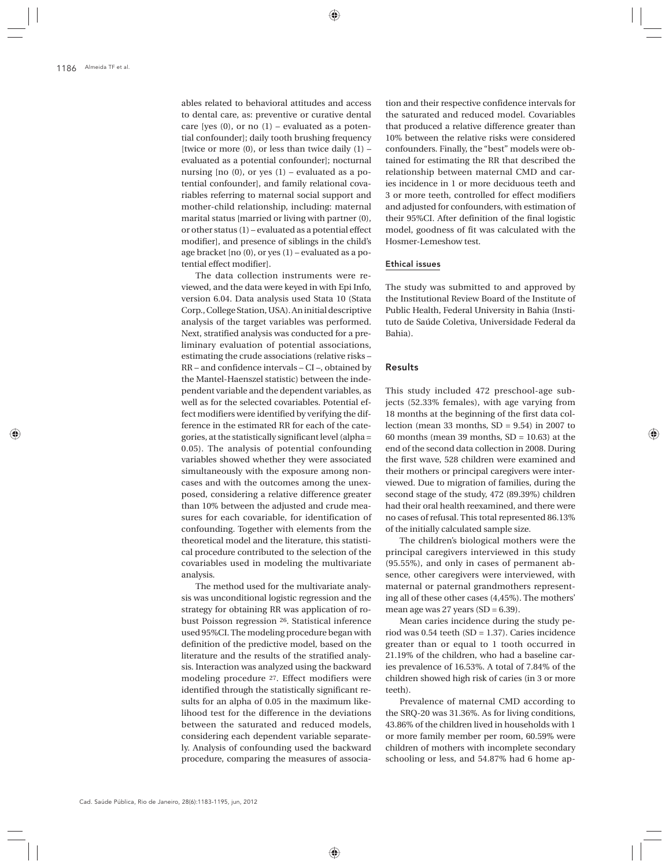ables related to behavioral attitudes and access to dental care, as: preventive or curative dental care [yes  $(0)$ , or no  $(1)$  – evaluated as a potential confounder]; daily tooth brushing frequency [twice or more  $(0)$ , or less than twice daily  $(1)$  – evaluated as a potential confounder]; nocturnal nursing [no (0), or yes (1) – evaluated as a potential confounder], and family relational covariables referring to maternal social support and mother-child relationship, including: maternal marital status [married or living with partner (0), or other status (1) – evaluated as a potential effect modifier], and presence of siblings in the child's age bracket [no (0), or yes (1) – evaluated as a potential effect modifier].

The data collection instruments were reviewed, and the data were keyed in with Epi Info, version 6.04. Data analysis used Stata 10 (Stata Corp., College Station, USA). An initial descriptive analysis of the target variables was performed. Next, stratified analysis was conducted for a preliminary evaluation of potential associations, estimating the crude associations (relative risks – RR – and confidence intervals – CI –, obtained by the Mantel-Haenszel statistic) between the independent variable and the dependent variables, as well as for the selected covariables. Potential effect modifiers were identified by verifying the difference in the estimated RR for each of the categories, at the statistically significant level (alpha = 0.05). The analysis of potential confounding variables showed whether they were associated simultaneously with the exposure among noncases and with the outcomes among the unexposed, considering a relative difference greater than 10% between the adjusted and crude measures for each covariable, for identification of confounding. Together with elements from the theoretical model and the literature, this statistical procedure contributed to the selection of the covariables used in modeling the multivariate analysis.

The method used for the multivariate analysis was unconditional logistic regression and the strategy for obtaining RR was application of robust Poisson regression 26. Statistical inference used 95%CI. The modeling procedure began with definition of the predictive model, based on the literature and the results of the stratified analysis. Interaction was analyzed using the backward modeling procedure 27. Effect modifiers were identified through the statistically significant results for an alpha of 0.05 in the maximum likelihood test for the difference in the deviations between the saturated and reduced models, considering each dependent variable separately. Analysis of confounding used the backward procedure, comparing the measures of associa-

tion and their respective confidence intervals for the saturated and reduced model. Covariables that produced a relative difference greater than 10% between the relative risks were considered confounders. Finally, the "best" models were obtained for estimating the RR that described the relationship between maternal CMD and caries incidence in 1 or more deciduous teeth and 3 or more teeth, controlled for effect modifiers and adjusted for confounders, with estimation of their 95%CI. After definition of the final logistic model, goodness of fit was calculated with the Hosmer-Lemeshow test.

# Ethical issues

The study was submitted to and approved by the Institutional Review Board of the Institute of Public Health, Federal University in Bahia (Instituto de Saúde Coletiva, Universidade Federal da Bahia).

# Results

This study included 472 preschool-age subjects (52.33% females), with age varying from 18 months at the beginning of the first data collection (mean 33 months,  $SD = 9.54$ ) in 2007 to 60 months (mean 39 months,  $SD = 10.63$ ) at the end of the second data collection in 2008. During the first wave, 528 children were examined and their mothers or principal caregivers were interviewed. Due to migration of families, during the second stage of the study, 472 (89.39%) children had their oral health reexamined, and there were no cases of refusal. This total represented 86.13% of the initially calculated sample size.

The children's biological mothers were the principal caregivers interviewed in this study (95.55%), and only in cases of permanent absence, other caregivers were interviewed, with maternal or paternal grandmothers representing all of these other cases (4,45%). The mothers' mean age was  $27$  years (SD = 6.39).

Mean caries incidence during the study period was 0.54 teeth (SD = 1.37). Caries incidence greater than or equal to 1 tooth occurred in 21.19% of the children, who had a baseline caries prevalence of 16.53%. A total of 7.84% of the children showed high risk of caries (in 3 or more teeth).

Prevalence of maternal CMD according to the SRQ-20 was 31.36%. As for living conditions, 43.86% of the children lived in households with 1 or more family member per room, 60.59% were children of mothers with incomplete secondary schooling or less, and 54.87% had 6 home ap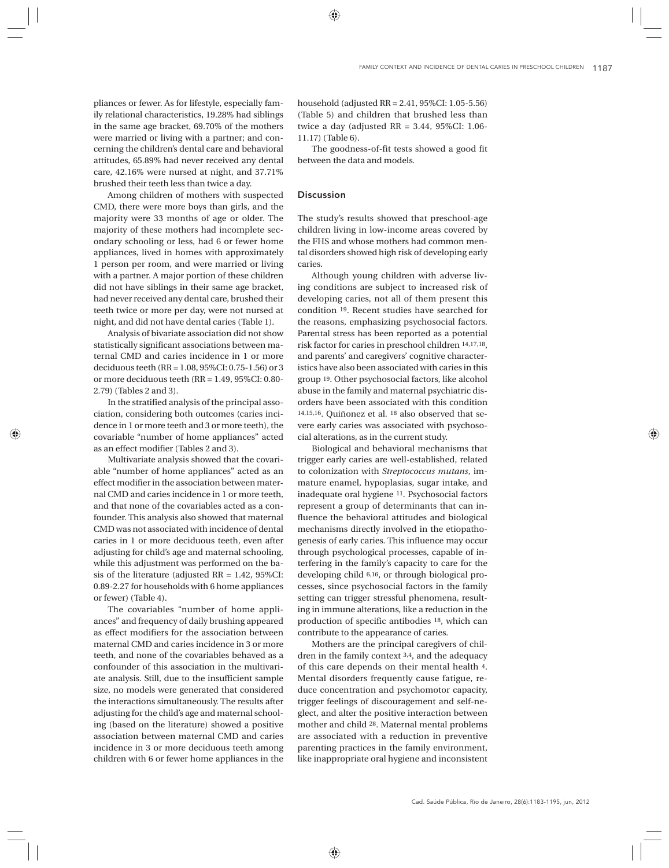pliances or fewer. As for lifestyle, especially family relational characteristics, 19.28% had siblings in the same age bracket, 69.70% of the mothers were married or living with a partner; and concerning the children's dental care and behavioral attitudes, 65.89% had never received any dental care, 42.16% were nursed at night, and 37.71% brushed their teeth less than twice a day.

Among children of mothers with suspected CMD, there were more boys than girls, and the majority were 33 months of age or older. The majority of these mothers had incomplete secondary schooling or less, had 6 or fewer home appliances, lived in homes with approximately 1 person per room, and were married or living with a partner. A major portion of these children did not have siblings in their same age bracket, had never received any dental care, brushed their teeth twice or more per day, were not nursed at night, and did not have dental caries (Table 1).

Analysis of bivariate association did not show statistically significant associations between maternal CMD and caries incidence in 1 or more deciduous teeth (RR = 1.08, 95%CI: 0.75-1.56) or 3 or more deciduous teeth (RR = 1.49, 95%CI: 0.80- 2.79) (Tables 2 and 3).

In the stratified analysis of the principal association, considering both outcomes (caries incidence in 1 or more teeth and 3 or more teeth), the covariable "number of home appliances" acted as an effect modifier (Tables 2 and 3).

Multivariate analysis showed that the covariable "number of home appliances" acted as an effect modifier in the association between maternal CMD and caries incidence in 1 or more teeth, and that none of the covariables acted as a confounder. This analysis also showed that maternal CMD was not associated with incidence of dental caries in 1 or more deciduous teeth, even after adjusting for child's age and maternal schooling, while this adjustment was performed on the basis of the literature (adjusted  $RR = 1.42$ , 95%CI: 0.89-2.27 for households with 6 home appliances or fewer) (Table 4).

The covariables "number of home appliances" and frequency of daily brushing appeared as effect modifiers for the association between maternal CMD and caries incidence in 3 or more teeth, and none of the covariables behaved as a confounder of this association in the multivariate analysis. Still, due to the insufficient sample size, no models were generated that considered the interactions simultaneously. The results after adjusting for the child's age and maternal schooling (based on the literature) showed a positive association between maternal CMD and caries incidence in 3 or more deciduous teeth among children with 6 or fewer home appliances in the household (adjusted RR = 2.41, 95%CI: 1.05-5.56) (Table 5) and children that brushed less than twice a day (adjusted RR = 3.44, 95%CI: 1.06- 11.17) (Table 6).

The goodness-of-fit tests showed a good fit between the data and models.

## **Discussion**

The study's results showed that preschool-age children living in low-income areas covered by the FHS and whose mothers had common mental disorders showed high risk of developing early caries.

Although young children with adverse living conditions are subject to increased risk of developing caries, not all of them present this condition 19. Recent studies have searched for the reasons, emphasizing psychosocial factors. Parental stress has been reported as a potential risk factor for caries in preschool children 14,17,18, and parents' and caregivers' cognitive characteristics have also been associated with caries in this group 19. Other psychosocial factors, like alcohol abuse in the family and maternal psychiatric disorders have been associated with this condition 14,15,16. Quiñonez et al. 18 also observed that severe early caries was associated with psychosocial alterations, as in the current study.

Biological and behavioral mechanisms that trigger early caries are well-established, related to colonization with *Streptococcus mutans*, immature enamel, hypoplasias, sugar intake, and inadequate oral hygiene 11. Psychosocial factors represent a group of determinants that can influence the behavioral attitudes and biological mechanisms directly involved in the etiopathogenesis of early caries. This influence may occur through psychological processes, capable of interfering in the family's capacity to care for the developing child 6,16, or through biological processes, since psychosocial factors in the family setting can trigger stressful phenomena, resulting in immune alterations, like a reduction in the production of specific antibodies 18, which can contribute to the appearance of caries.

Mothers are the principal caregivers of children in the family context 3,4, and the adequacy of this care depends on their mental health 4. Mental disorders frequently cause fatigue, reduce concentration and psychomotor capacity, trigger feelings of discouragement and self-neglect, and alter the positive interaction between mother and child 28. Maternal mental problems are associated with a reduction in preventive parenting practices in the family environment, like inappropriate oral hygiene and inconsistent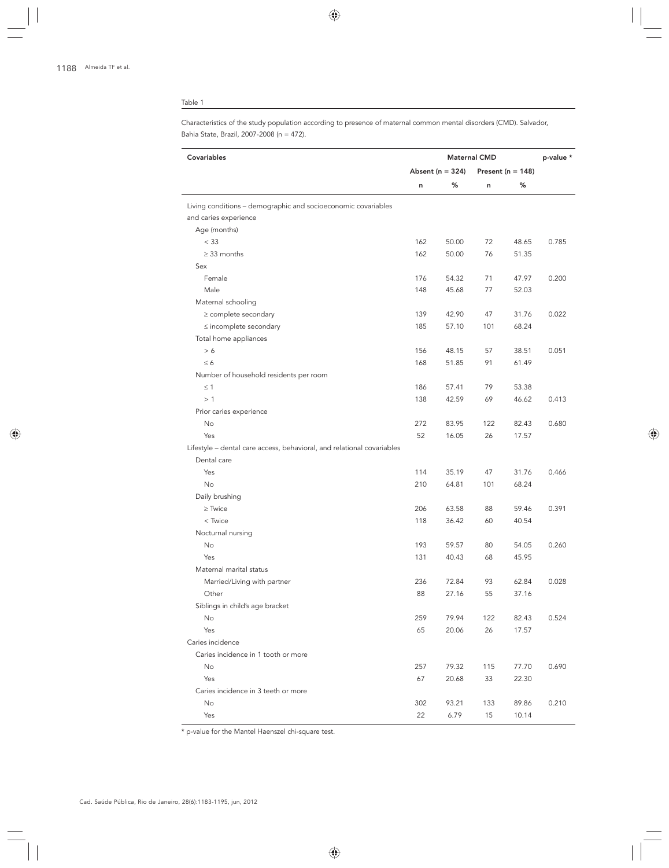Characteristics of the study population according to presence of maternal common mental disorders (CMD). Salvador, Bahia State, Brazil, 2007-2008 (n = 472).

| Covariables                                                                           | <b>Maternal CMD</b>  |       |                       |       | p-value * |
|---------------------------------------------------------------------------------------|----------------------|-------|-----------------------|-------|-----------|
|                                                                                       | Absent ( $n = 324$ ) |       | Present ( $n = 148$ ) |       |           |
|                                                                                       | n                    | %     | n                     | ℅     |           |
| Living conditions - demographic and socioeconomic covariables                         |                      |       |                       |       |           |
| and caries experience                                                                 |                      |       |                       |       |           |
| Age (months)                                                                          |                      |       |                       |       |           |
| < 33                                                                                  | 162                  | 50.00 | 72                    | 48.65 | 0.785     |
| $\geq$ 33 months                                                                      | 162                  | 50.00 | 76                    | 51.35 |           |
| Sex                                                                                   |                      |       |                       |       |           |
| Female                                                                                | 176                  | 54.32 | 71                    | 47.97 | 0.200     |
| Male                                                                                  | 148                  | 45.68 | 77                    | 52.03 |           |
| Maternal schooling                                                                    |                      |       |                       |       |           |
| $\geq$ complete secondary                                                             | 139                  | 42.90 | 47                    | 31.76 | 0.022     |
| $\leq$ incomplete secondary                                                           | 185                  | 57.10 | 101                   | 68.24 |           |
| Total home appliances                                                                 |                      |       |                       |       |           |
| > 6                                                                                   | 156                  | 48.15 | 57                    | 38.51 | 0.051     |
| $\leq 6$                                                                              | 168                  | 51.85 | 91                    | 61.49 |           |
| Number of household residents per room                                                |                      |       |                       |       |           |
| $\leq$ 1                                                                              | 186                  | 57.41 | 79                    | 53.38 |           |
| >1                                                                                    | 138                  | 42.59 | 69                    | 46.62 | 0.413     |
| Prior caries experience                                                               |                      |       |                       |       |           |
| No                                                                                    | 272                  | 83.95 | 122                   | 82.43 | 0.680     |
| Yes                                                                                   | 52                   | 16.05 | 26                    | 17.57 |           |
| Lifestyle - dental care access, behavioral, and relational covariables<br>Dental care |                      |       |                       |       |           |
| Yes                                                                                   | 114                  | 35.19 | 47                    | 31.76 | 0.466     |
| No                                                                                    | 210                  | 64.81 | 101                   | 68.24 |           |
| Daily brushing                                                                        |                      |       |                       |       |           |
| $\geq$ Twice                                                                          | 206                  | 63.58 | 88                    | 59.46 | 0.391     |
| < Twice                                                                               | 118                  | 36.42 | 60                    | 40.54 |           |
| Nocturnal nursing                                                                     |                      |       |                       |       |           |
| No                                                                                    | 193                  | 59.57 | 80                    | 54.05 | 0.260     |
| Yes                                                                                   | 131                  | 40.43 | 68                    | 45.95 |           |
| Maternal marital status                                                               |                      |       |                       |       |           |
| Married/Living with partner                                                           | 236                  | 72.84 | 93                    | 62.84 | 0.028     |
| Other                                                                                 | 88                   | 27.16 | 55                    | 37.16 |           |
| Siblings in child's age bracket                                                       |                      |       |                       |       |           |
| No                                                                                    | 259                  | 79.94 | 122                   | 82.43 | 0.524     |
| Yes                                                                                   | 65                   | 20.06 | 26                    | 17.57 |           |
| Caries incidence                                                                      |                      |       |                       |       |           |
| Caries incidence in 1 tooth or more                                                   |                      |       |                       |       |           |
| No                                                                                    | 257                  | 79.32 | 115                   | 77.70 | 0.690     |
| Yes                                                                                   | 67                   | 20.68 | 33                    | 22.30 |           |
| Caries incidence in 3 teeth or more                                                   |                      |       |                       |       |           |
| No                                                                                    | 302                  | 93.21 | 133                   | 89.86 | 0.210     |
| Yes                                                                                   | 22                   | 6.79  | 15                    | 10.14 |           |
|                                                                                       |                      |       |                       |       |           |

\* p-value for the Mantel Haenszel chi-square test.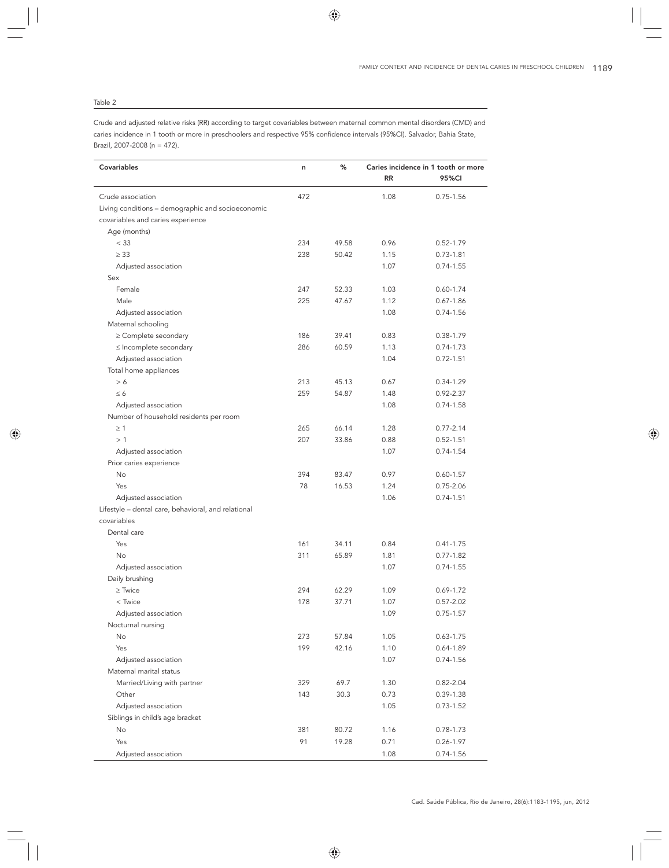Crude and adjusted relative risks (RR) according to target covariables between maternal common mental disorders (CMD) and caries incidence in 1 tooth or more in preschoolers and respective 95% confidence intervals (95%CI). Salvador, Bahia State, Brazil, 2007-2008 (n = 472).

| Covariables                                                        | n   | ℅     | <b>RR</b> | Caries incidence in 1 tooth or more<br>95%CI |
|--------------------------------------------------------------------|-----|-------|-----------|----------------------------------------------|
| Crude association                                                  | 472 |       | 1.08      | $0.75 - 1.56$                                |
| Living conditions - demographic and socioeconomic                  |     |       |           |                                              |
| covariables and caries experience                                  |     |       |           |                                              |
| Age (months)                                                       |     |       |           |                                              |
| < 33                                                               | 234 | 49.58 | 0.96      | $0.52 - 1.79$                                |
| $\geq$ 33                                                          | 238 | 50.42 | 1.15      | $0.73 - 1.81$                                |
| Adjusted association                                               |     |       | 1.07      | $0.74 - 1.55$                                |
| Sex                                                                |     |       |           |                                              |
| Female                                                             | 247 | 52.33 | 1.03      | $0.60 - 1.74$                                |
| Male                                                               | 225 | 47.67 | 1.12      | $0.67 - 1.86$                                |
| Adjusted association                                               |     |       | 1.08      | 0.74-1.56                                    |
| Maternal schooling                                                 |     |       |           |                                              |
| $\geq$ Complete secondary                                          | 186 | 39.41 | 0.83      | 0.38-1.79                                    |
| $\leq$ Incomplete secondary                                        | 286 | 60.59 | 1.13      | $0.74 - 1.73$                                |
| Adjusted association                                               |     |       | 1.04      | $0.72 - 1.51$                                |
| Total home appliances                                              |     |       |           |                                              |
| > 6                                                                | 213 | 45.13 | 0.67      | $0.34 - 1.29$                                |
| $\leq 6$                                                           | 259 | 54.87 | 1.48      | $0.92 - 2.37$                                |
| Adjusted association                                               |     |       | 1.08      | $0.74 - 1.58$                                |
| Number of household residents per room                             |     |       |           |                                              |
| $\geq$ 1                                                           | 265 | 66.14 | 1.28      | $0.77 - 2.14$                                |
| >1                                                                 | 207 | 33.86 | 0.88      | $0.52 - 1.51$                                |
| Adjusted association                                               |     |       | 1.07      | 0.74-1.54                                    |
| Prior caries experience                                            |     |       |           |                                              |
| No                                                                 | 394 | 83.47 | 0.97      | $0.60 - 1.57$                                |
| Yes                                                                | 78  | 16.53 | 1.24      | $0.75 - 2.06$                                |
| Adjusted association                                               |     |       | 1.06      | $0.74 - 1.51$                                |
| Lifestyle - dental care, behavioral, and relational<br>covariables |     |       |           |                                              |
| Dental care                                                        |     |       |           |                                              |
| Yes                                                                | 161 | 34.11 | 0.84      | $0.41 - 1.75$                                |
| <b>No</b>                                                          | 311 | 65.89 | 1.81      | $0.77 - 1.82$                                |
| Adjusted association                                               |     |       | 1.07      | $0.74 - 1.55$                                |
| Daily brushing                                                     |     |       |           |                                              |
| $\ge$ Twice                                                        | 294 | 62.29 | 1.09      | $0.69 - 1.72$                                |
| $<$ Twice                                                          | 178 | 37.71 | 1.07      | $0.57 - 2.02$                                |
| Adjusted association                                               |     |       | 1.09      | $0.75 - 1.57$                                |
| Nocturnal nursing                                                  |     |       |           |                                              |
| No                                                                 | 273 | 57.84 | 1.05      | $0.63 - 1.75$                                |
| Yes                                                                | 199 | 42.16 | 1.10      | $0.64 - 1.89$                                |
| Adjusted association                                               |     |       | 1.07      | 0.74-1.56                                    |
| Maternal marital status                                            |     |       |           |                                              |
| Married/Living with partner                                        | 329 | 69.7  | 1.30      | $0.82 - 2.04$                                |
| Other                                                              | 143 | 30.3  | 0.73      | 0.39-1.38                                    |
| Adjusted association                                               |     |       | 1.05      | $0.73 - 1.52$                                |
| Siblings in child's age bracket                                    |     |       |           |                                              |
| No                                                                 | 381 | 80.72 | 1.16      | 0.78-1.73                                    |
| Yes                                                                | 91  | 19.28 | 0.71      | 0.26-1.97                                    |
| Adjusted association                                               |     |       | 1.08      | $0.74 - 1.56$                                |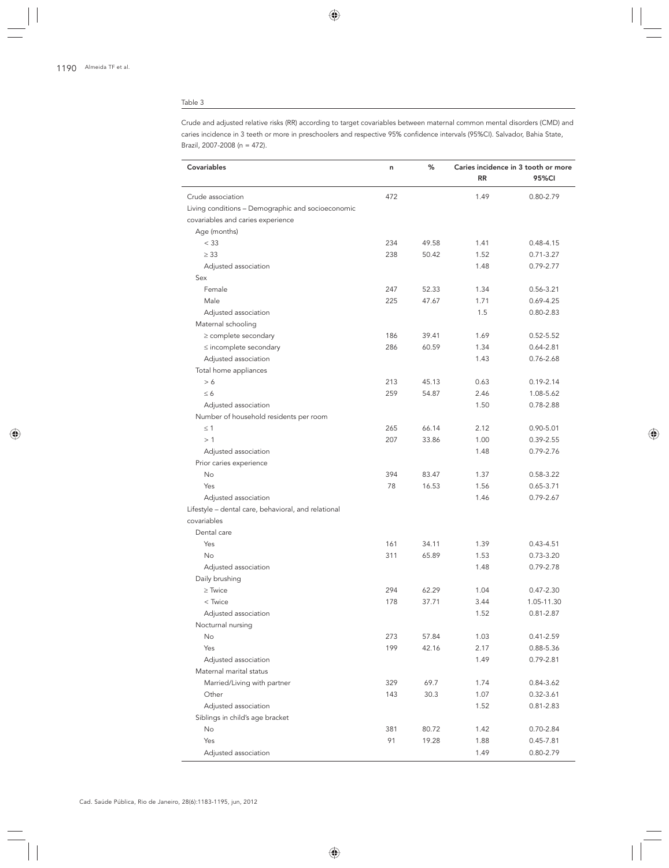Crude and adjusted relative risks (RR) according to target covariables between maternal common mental disorders (CMD) and caries incidence in 3 teeth or more in preschoolers and respective 95% confidence intervals (95%CI). Salvador, Bahia State, Brazil, 2007-2008 (n = 472).

| Covariables                                                        | n   | ℅     | Caries incidence in 3 tooth or more |               |  |
|--------------------------------------------------------------------|-----|-------|-------------------------------------|---------------|--|
|                                                                    |     |       | <b>RR</b>                           | 95%CI         |  |
| Crude association                                                  | 472 |       | 1.49                                | $0.80 - 2.79$ |  |
| Living conditions - Demographic and socioeconomic                  |     |       |                                     |               |  |
| covariables and caries experience                                  |     |       |                                     |               |  |
| Age (months)                                                       |     |       |                                     |               |  |
| < 33                                                               | 234 | 49.58 | 1.41                                | 0.48-4.15     |  |
| $\geq$ 33                                                          | 238 | 50.42 | 1.52                                | $0.71 - 3.27$ |  |
| Adjusted association                                               |     |       | 1.48                                | 0.79-2.77     |  |
| Sex                                                                |     |       |                                     |               |  |
| Female                                                             | 247 | 52.33 | 1.34                                | 0.56-3.21     |  |
| Male                                                               | 225 | 47.67 | 1.71                                | $0.69 - 4.25$ |  |
| Adjusted association                                               |     |       | 1.5                                 | $0.80 - 2.83$ |  |
| Maternal schooling                                                 |     |       |                                     |               |  |
| $\geq$ complete secondary                                          | 186 | 39.41 | 1.69                                | $0.52 - 5.52$ |  |
| $\leq$ incomplete secondary                                        | 286 | 60.59 | 1.34                                | $0.64 - 2.81$ |  |
| Adjusted association                                               |     |       | 1.43                                | $0.76 - 2.68$ |  |
| Total home appliances                                              |     |       |                                     |               |  |
| > 6                                                                | 213 | 45.13 | 0.63                                | $0.19 - 2.14$ |  |
| $\leq 6$                                                           | 259 | 54.87 | 2.46                                | 1.08-5.62     |  |
| Adjusted association                                               |     |       | 1.50                                | 0.78-2.88     |  |
| Number of household residents per room                             |     |       |                                     |               |  |
| $\leq$ 1                                                           | 265 | 66.14 | 2.12                                | $0.90 - 5.01$ |  |
| >1                                                                 | 207 | 33.86 | 1.00                                | 0.39-2.55     |  |
| Adjusted association                                               |     |       | 1.48                                | 0.79-2.76     |  |
| Prior caries experience                                            |     |       |                                     |               |  |
| No                                                                 | 394 | 83.47 | 1.37                                | 0.58-3.22     |  |
| Yes                                                                | 78  | 16.53 | 1.56                                | $0.65 - 3.71$ |  |
| Adjusted association                                               |     |       | 1.46                                | $0.79 - 2.67$ |  |
| Lifestyle - dental care, behavioral, and relational<br>covariables |     |       |                                     |               |  |
| Dental care                                                        |     |       |                                     |               |  |
| Yes                                                                | 161 | 34.11 | 1.39                                | $0.43 - 4.51$ |  |
| <b>No</b>                                                          | 311 | 65.89 | 1.53                                | $0.73 - 3.20$ |  |
| Adjusted association                                               |     |       | 1.48                                | 0.79-2.78     |  |
| Daily brushing                                                     |     |       |                                     |               |  |
| $\geq$ Twice                                                       | 294 | 62.29 | 1.04                                | $0.47 - 2.30$ |  |
| < Twice                                                            | 178 | 37.71 | 3.44                                | 1.05-11.30    |  |
| Adjusted association                                               |     |       | 1.52                                | 0.81-2.87     |  |
| Nocturnal nursing                                                  |     |       |                                     |               |  |
| <b>No</b>                                                          | 273 | 57.84 | 1.03                                | 0.41-2.59     |  |
| Yes                                                                | 199 | 42.16 | 2.17                                | 0.88-5.36     |  |
| Adjusted association                                               |     |       | 1.49                                | 0.79-2.81     |  |
| Maternal marital status                                            |     |       |                                     |               |  |
| Married/Living with partner                                        | 329 | 69.7  | 1.74                                | 0.84-3.62     |  |
| Other                                                              | 143 | 30.3  | 1.07                                | $0.32 - 3.61$ |  |
| Adjusted association                                               |     |       | 1.52                                | $0.81 - 2.83$ |  |
| Siblings in child's age bracket                                    |     |       |                                     |               |  |
| No                                                                 | 381 | 80.72 | 1.42                                | 0.70-2.84     |  |
| Yes                                                                | 91  | 19.28 | 1.88                                | $0.45 - 7.81$ |  |
| Adjusted association                                               |     |       | 1.49                                | 0.80-2.79     |  |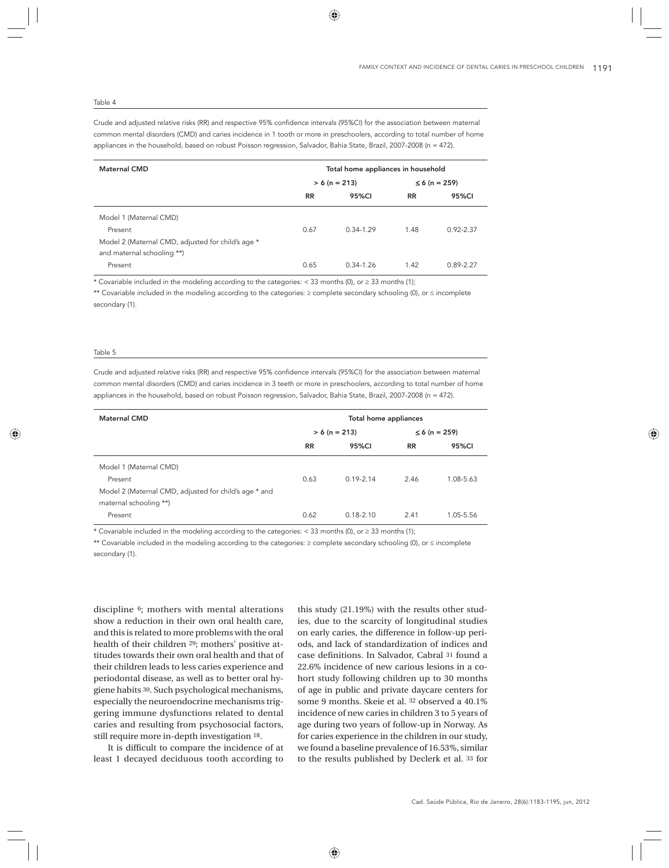Crude and adjusted relative risks (RR) and respective 95% confidence intervals (95%CI) for the association between maternal common mental disorders (CMD) and caries incidence in 1 tooth or more in preschoolers, according to total number of home appliances in the household, based on robust Poisson regression, Salvador, Bahia State, Brazil, 2007-2008 (n = 472).

| <b>Maternal CMD</b>                               | Total home appliances in household |                 |                    |               |  |
|---------------------------------------------------|------------------------------------|-----------------|--------------------|---------------|--|
|                                                   |                                    | $> 6 (n = 213)$ | $\leq 6$ (n = 259) |               |  |
|                                                   | <b>RR</b>                          | 95%CI           | <b>RR</b>          | 95%CI         |  |
| Model 1 (Maternal CMD)                            |                                    |                 |                    |               |  |
| Present                                           | 0.67                               | $0.34 - 1.29$   | 1.48               | $0.92 - 2.37$ |  |
| Model 2 (Maternal CMD, adjusted for child's age * |                                    |                 |                    |               |  |
| and maternal schooling **)                        |                                    |                 |                    |               |  |
| Present                                           | 0.65                               | $0.34 - 1.26$   | 1.42               | 089-227       |  |

\* Covariable included in the modeling according to the categories: < 33 months (0), or ≥ 33 months (1);

\*\* Covariable included in the modeling according to the categories: ≥ complete secondary schooling (0), or ≤ incomplete secondary (1).

#### Table 5

Crude and adjusted relative risks (RR) and respective 95% confidence intervals (95%CI) for the association between maternal common mental disorders (CMD) and caries incidence in 3 teeth or more in preschoolers, according to total number of home appliances in the household, based on robust Poisson regression, Salvador, Bahia State, Brazil, 2007-2008 (n = 472).

| <b>Maternal CMD</b>                                                             | Total home appliances |                 |                    |           |
|---------------------------------------------------------------------------------|-----------------------|-----------------|--------------------|-----------|
|                                                                                 |                       | $> 6 (n = 213)$ | $\leq 6$ (n = 259) |           |
|                                                                                 | <b>RR</b>             | 95%CI           | <b>RR</b>          | 95%CI     |
| Model 1 (Maternal CMD)                                                          |                       |                 |                    |           |
| Present                                                                         | 0.63                  | $0.19 - 2.14$   | 2.46               | 1.08-5.63 |
| Model 2 (Maternal CMD, adjusted for child's age * and<br>maternal schooling **) |                       |                 |                    |           |
| Present                                                                         | 0.62                  | $0.18 - 2.10$   | 2.41               | 1.05-5.56 |

\* Covariable included in the modeling according to the categories: < 33 months (0), or ≥ 33 months (1);

\*\* Covariable included in the modeling according to the categories: ≥ complete secondary schooling (0), or ≤ incomplete secondary (1).

discipline 6; mothers with mental alterations show a reduction in their own oral health care, and this is related to more problems with the oral health of their children 29; mothers' positive attitudes towards their own oral health and that of their children leads to less caries experience and periodontal disease, as well as to better oral hygiene habits 30. Such psychological mechanisms, especially the neuroendocrine mechanisms triggering immune dysfunctions related to dental caries and resulting from psychosocial factors, still require more in-depth investigation 18.

It is difficult to compare the incidence of at least 1 decayed deciduous tooth according to

this study (21.19%) with the results other studies, due to the scarcity of longitudinal studies on early caries, the difference in follow-up periods, and lack of standardization of indices and case definitions. In Salvador, Cabral 31 found a 22.6% incidence of new carious lesions in a cohort study following children up to 30 months of age in public and private daycare centers for some 9 months. Skeie et al. 32 observed a 40.1% incidence of new caries in children 3 to 5 years of age during two years of follow-up in Norway. As for caries experience in the children in our study, we found a baseline prevalence of 16.53%, similar to the results published by Declerk et al. 33 for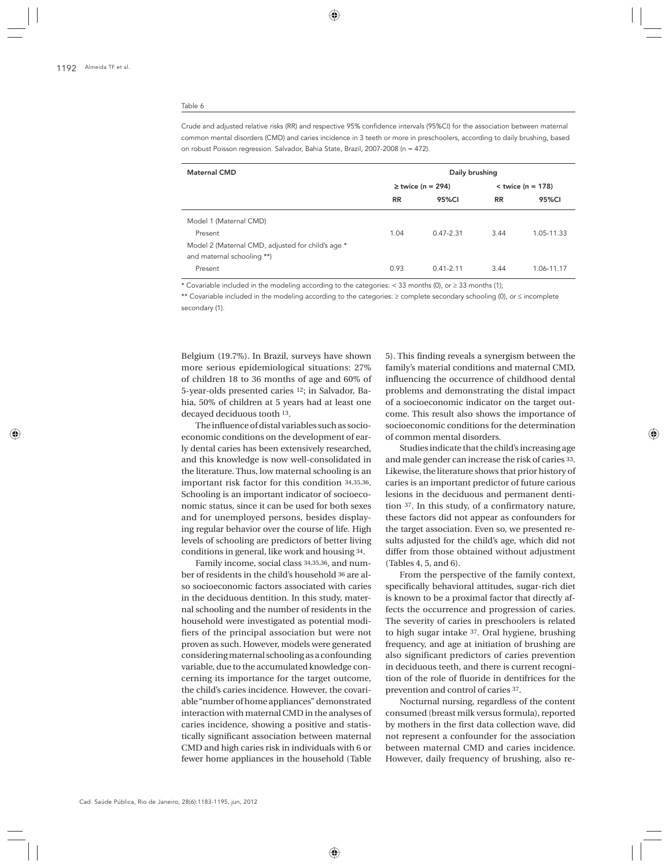Crude and adjusted relative risks (RR) and respective 95% confidence intervals (95%CI) for the association between maternal common mental disorders (CMD) and caries incidence in 3 teeth or more in preschoolers, according to daily brushing, based on robust Poisson regression. Salvador, Bahia State, Brazil, 2007-2008 (n = 472).

| <b>Maternal CMD</b>                               | Daily brushing |                       |                     |            |  |
|---------------------------------------------------|----------------|-----------------------|---------------------|------------|--|
|                                                   |                | $\ge$ twice (n = 294) | $<$ twice (n = 178) |            |  |
|                                                   | <b>RR</b>      | 95%CI                 | <b>RR</b>           | 95%CI      |  |
| Model 1 (Maternal CMD)                            |                |                       |                     |            |  |
| Present                                           | 1.04           | $0.47 - 2.31$         | 3.44                | 1.05-11.33 |  |
| Model 2 (Maternal CMD, adjusted for child's age * |                |                       |                     |            |  |
| and maternal schooling **)                        |                |                       |                     |            |  |
| Present                                           | 0.93           | $0.41 - 2.11$         | 3.44                | 1.06-11.17 |  |

\* Covariable included in the modeling according to the categories: < 33 months (0), or ≥ 33 months (1);

\*\* Covariable included in the modeling according to the categories: ≥ complete secondary schooling (0), or ≤ incomplete secondary (1).

Belgium (19.7%). In Brazil, surveys have shown more serious epidemiological situations: 27% of children 18 to 36 months of age and 60% of 5-year-olds presented caries 12; in Salvador, Bahia, 50% of children at 5 years had at least one decayed deciduous tooth 13.

The influence of distal variables such as socioeconomic conditions on the development of early dental caries has been extensively researched, and this knowledge is now well-consolidated in the literature. Thus, low maternal schooling is an important risk factor for this condition 34,35,36. Schooling is an important indicator of socioeconomic status, since it can be used for both sexes and for unemployed persons, besides displaying regular behavior over the course of life. High levels of schooling are predictors of better living conditions in general, like work and housing 34.

Family income, social class 34,35,36, and number of residents in the child's household 36 are also socioeconomic factors associated with caries in the deciduous dentition. In this study, maternal schooling and the number of residents in the household were investigated as potential modifiers of the principal association but were not proven as such. However, models were generated considering maternal schooling as a confounding variable, due to the accumulated knowledge concerning its importance for the target outcome, the child's caries incidence. However, the covariable "number of home appliances" demonstrated interaction with maternal CMD in the analyses of caries incidence, showing a positive and statistically significant association between maternal CMD and high caries risk in individuals with 6 or fewer home appliances in the household (Table 5). This finding reveals a synergism between the family's material conditions and maternal CMD, influencing the occurrence of childhood dental problems and demonstrating the distal impact of a socioeconomic indicator on the target outcome. This result also shows the importance of socioeconomic conditions for the determination of common mental disorders.

Studies indicate that the child's increasing age and male gender can increase the risk of caries 33. Likewise, the literature shows that prior history of caries is an important predictor of future carious lesions in the deciduous and permanent dentition 37. In this study, of a confirmatory nature, these factors did not appear as confounders for the target association. Even so, we presented results adjusted for the child's age, which did not differ from those obtained without adjustment (Tables 4, 5, and 6).

From the perspective of the family context, specifically behavioral attitudes, sugar-rich diet is known to be a proximal factor that directly affects the occurrence and progression of caries. The severity of caries in preschoolers is related to high sugar intake 37. Oral hygiene, brushing frequency, and age at initiation of brushing are also significant predictors of caries prevention in deciduous teeth, and there is current recognition of the role of fluoride in dentifrices for the prevention and control of caries 37.

Nocturnal nursing, regardless of the content consumed (breast milk versus formula), reported by mothers in the first data collection wave, did not represent a confounder for the association between maternal CMD and caries incidence. However, daily frequency of brushing, also re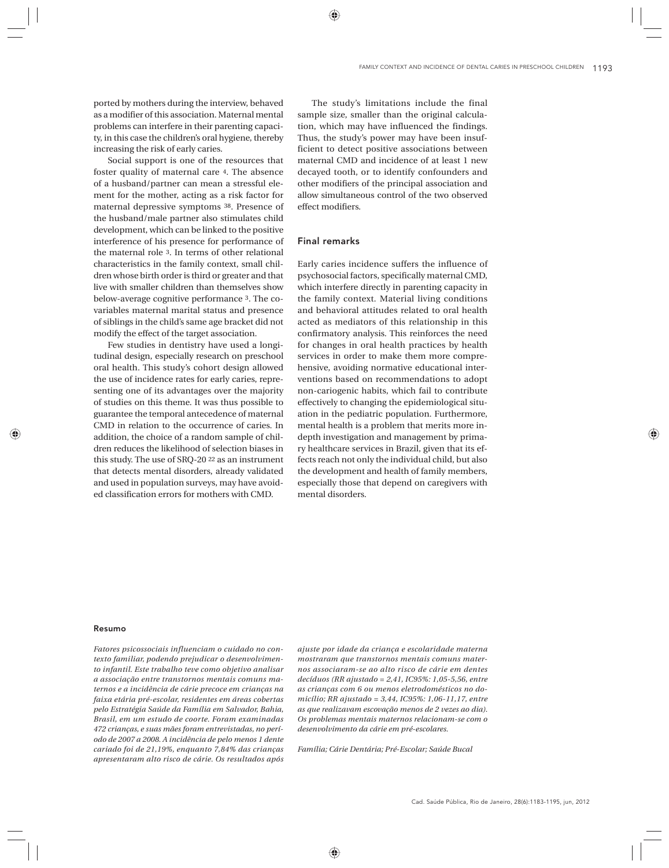ported by mothers during the interview, behaved as a modifier of this association. Maternal mental problems can interfere in their parenting capacity, in this case the children's oral hygiene, thereby increasing the risk of early caries.

Social support is one of the resources that foster quality of maternal care 4. The absence of a husband/partner can mean a stressful element for the mother, acting as a risk factor for maternal depressive symptoms 38. Presence of the husband/male partner also stimulates child development, which can be linked to the positive interference of his presence for performance of the maternal role 3. In terms of other relational characteristics in the family context, small children whose birth order is third or greater and that live with smaller children than themselves show below-average cognitive performance 3. The covariables maternal marital status and presence of siblings in the child's same age bracket did not modify the effect of the target association.

Few studies in dentistry have used a longitudinal design, especially research on preschool oral health. This study's cohort design allowed the use of incidence rates for early caries, representing one of its advantages over the majority of studies on this theme. It was thus possible to guarantee the temporal antecedence of maternal CMD in relation to the occurrence of caries. In addition, the choice of a random sample of children reduces the likelihood of selection biases in this study. The use of SRQ-20 22 as an instrument that detects mental disorders, already validated and used in population surveys, may have avoided classification errors for mothers with CMD.

The study's limitations include the final sample size, smaller than the original calculation, which may have influenced the findings. Thus, the study's power may have been insufficient to detect positive associations between maternal CMD and incidence of at least 1 new decayed tooth, or to identify confounders and other modifiers of the principal association and allow simultaneous control of the two observed effect modifiers.

## Final remarks

Early caries incidence suffers the influence of psychosocial factors, specifically maternal CMD, which interfere directly in parenting capacity in the family context. Material living conditions and behavioral attitudes related to oral health acted as mediators of this relationship in this confirmatory analysis. This reinforces the need for changes in oral health practices by health services in order to make them more comprehensive, avoiding normative educational interventions based on recommendations to adopt non-cariogenic habits, which fail to contribute effectively to changing the epidemiological situation in the pediatric population. Furthermore, mental health is a problem that merits more indepth investigation and management by primary healthcare services in Brazil, given that its effects reach not only the individual child, but also the development and health of family members, especially those that depend on caregivers with mental disorders.

#### Resumo

*Fatores psicossociais influenciam o cuidado no contexto familiar, podendo prejudicar o desenvolvimento infantil. Este trabalho teve como objetivo analisar a associação entre transtornos mentais comuns maternos e a incidência de cárie precoce em crianças na faixa etária pré-escolar, residentes em áreas cobertas pelo Estratégia Saúde da Família em Salvador, Bahia, Brasil, em um estudo de coorte. Foram examinadas 472 crianças, e suas mães foram entrevistadas, no período de 2007 a 2008. A incidência de pelo menos 1 dente cariado foi de 21,19%, enquanto 7,84% das crianças apresentaram alto risco de cárie. Os resultados após* 

*ajuste por idade da criança e escolaridade materna mostraram que transtornos mentais comuns maternos associaram-se ao alto risco de cárie em dentes decíduos (RR ajustado = 2,41, IC95%: 1,05-5,56, entre as crianças com 6 ou menos eletrodomésticos no domicílio; RR ajustado = 3,44, IC95%: 1,06-11,17, entre as que realizavam escovação menos de 2 vezes ao dia). Os problemas mentais maternos relacionam-se com o desenvolvimento da cárie em pré-escolares.*

*Família; Cárie Dentária; Pré-Escolar; Saúde Bucal*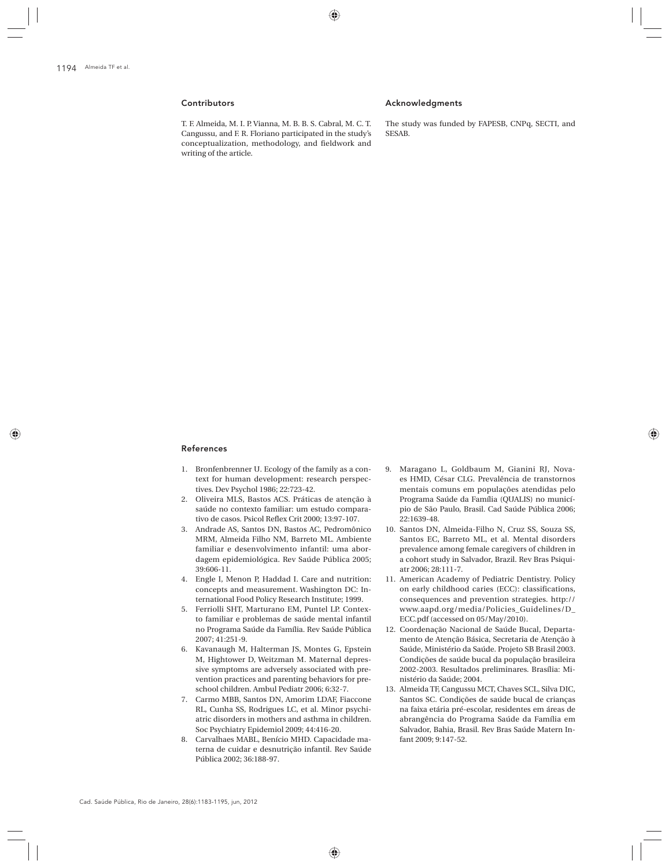# **Contributors**

T. F. Almeida, M. I. P. Vianna, M. B. B. S. Cabral, M. C. T. Cangussu, and F. R. Floriano participated in the study's conceptualization, methodology, and fieldwork and writing of the article.

#### Acknowledgments

The study was funded by FAPESB, CNPq, SECTI, and SESAB.

## References

- 1. Bronfenbrenner U. Ecology of the family as a context for human development: research perspectives. Dev Psychol 1986; 22:723-42.
- 2. Oliveira MLS, Bastos ACS. Práticas de atenção à saúde no contexto familiar: um estudo comparativo de casos. Psicol Reflex Crit 2000; 13:97-107.
- 3. Andrade AS, Santos DN, Bastos AC, Pedromônico MRM, Almeida Filho NM, Barreto ML. Ambiente familiar e desenvolvimento infantil: uma abordagem epidemiológica. Rev Saúde Pública 2005; 39:606-11.
- 4. Engle I, Menon P, Haddad I. Care and nutrition: concepts and measurement. Washington DC: International Food Policy Research Institute; 1999.
- 5. Ferriolli SHT, Marturano EM, Puntel LP. Contexto familiar e problemas de saúde mental infantil no Programa Saúde da Família. Rev Saúde Pública 2007; 41:251-9.
- 6. Kavanaugh M, Halterman JS, Montes G, Epstein M, Hightower D, Weitzman M. Maternal depressive symptoms are adversely associated with prevention practices and parenting behaviors for preschool children. Ambul Pediatr 2006; 6:32-7.
- 7. Carmo MBB, Santos DN, Amorim LDAF, Fiaccone RL, Cunha SS, Rodrigues LC, et al. Minor psychiatric disorders in mothers and asthma in children. Soc Psychiatry Epidemiol 2009; 44:416-20.
- 8. Carvalhaes MABL, Benício MHD. Capacidade materna de cuidar e desnutrição infantil. Rev Saúde Pública 2002; 36:188-97.
- 9. Maragano L, Goldbaum M, Gianini RJ, Novaes HMD, César CLG. Prevalência de transtornos mentais comuns em populações atendidas pelo Programa Saúde da Família (QUALIS) no município de São Paulo, Brasil. Cad Saúde Pública 2006; 22:1639-48.
- 10. Santos DN, Almeida-Filho N, Cruz SS, Souza SS, Santos EC, Barreto ML, et al. Mental disorders prevalence among female caregivers of children in a cohort study in Salvador, Brazil. Rev Bras Psiquiatr 2006; 28:111-7.
- 11. American Academy of Pediatric Dentistry. Policy on early childhood caries (ECC): classifications, consequences and prevention strategies. http:// www.aapd.org/media/Policies\_Guidelines/D\_ ECC.pdf (accessed on 05/May/2010).
- 12. Coordenação Nacional de Saúde Bucal, Departamento de Atenção Básica, Secretaria de Atenção à Saúde, Ministério da Saúde. Projeto SB Brasil 2003. Condições de saúde bucal da população brasileira 2002-2003. Resultados preliminares. Brasília: Ministério da Saúde; 2004.
- 13. Almeida TF, Cangussu MCT, Chaves SCL, Silva DIC, Santos SC. Condições de saúde bucal de crianças na faixa etária pré-escolar, residentes em áreas de abrangência do Programa Saúde da Família em Salvador, Bahia, Brasil. Rev Bras Saúde Matern Infant 2009; 9:147-52.